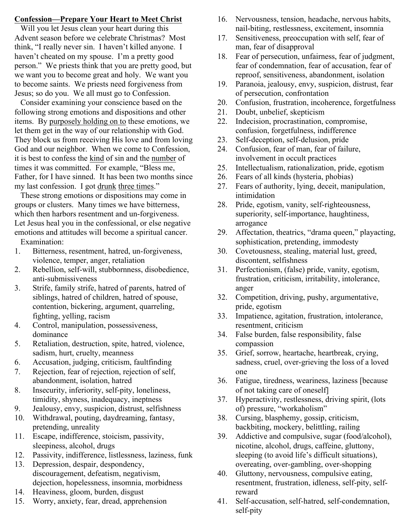# **Confession—Prepare Your Heart to Meet Christ**

 Will you let Jesus clean your heart during this Advent season before we celebrate Christmas? Most think, "I really never sin. I haven't killed anyone. I haven't cheated on my spouse. I'm a pretty good person." We priests think that you are pretty good, but we want you to become great and holy. We want you to become saints. We priests need forgiveness from Jesus; so do you. We all must go to Confession.

 Consider examining your conscience based on the following strong emotions and dispositions and other items. By purposely holding on to these emotions, we let them get in the way of our relationship with God. They block us from receiving His love and from loving God and our neighbor. When we come to Confession, it is best to confess the kind of sin and the number of times it was committed. For example, "Bless me, Father, for I have sinned. It has been two months since my last confession. I got drunk three times."

 These strong emotions or dispositions may come in groups or clusters. Many times we have bitterness, which then harbors resentment and un-forgiveness. Let Jesus heal you in the confessional, or else negative emotions and attitudes will become a spiritual cancer. Examination:

- 1. Bitterness, resentment, hatred, un-forgiveness, violence, temper, anger, retaliation
- 2. Rebellion, self-will, stubbornness, disobedience, anti-submissiveness
- 3. Strife, family strife, hatred of parents, hatred of siblings, hatred of children, hatred of spouse, contention, bickering, argument, quarreling, fighting, yelling, racism
- 4. Control, manipulation, possessiveness, dominance
- 5. Retaliation, destruction, spite, hatred, violence, sadism, hurt, cruelty, meanness
- 6. Accusation, judging, criticism, faultfinding
- 7. Rejection, fear of rejection, rejection of self, abandonment, isolation, hatred
- 8. Insecurity, inferiority, self-pity, loneliness, timidity, shyness, inadequacy, ineptness
- 9. Jealousy, envy, suspicion, distrust, selfishness
- 10. Withdrawal, pouting, daydreaming, fantasy, pretending, unreality
- 11. Escape, indifference, stoicism, passivity, sleepiness, alcohol, drugs
- 12. Passivity, indifference, listlessness, laziness, funk
- 13. Depression, despair, despondency, discouragement, defeatism, negativism, dejection, hopelessness, insomnia, morbidness
- 14. Heaviness, gloom, burden, disgust
- 15. Worry, anxiety, fear, dread, apprehension
- 16. Nervousness, tension, headache, nervous habits, nail-biting, restlessness, excitement, insomnia
- 17. Sensitiveness, preoccupation with self, fear of man, fear of disapproval
- 18. Fear of persecution, unfairness, fear of judgment, fear of condemnation, fear of accusation, fear of reproof, sensitiveness, abandonment, isolation
- 19. Paranoia, jealousy, envy, suspicion, distrust, fear of persecution, confrontation
- 20. Confusion, frustration, incoherence, forgetfulness
- 21. Doubt, unbelief, skepticism
- 22. Indecision, procrastination, compromise, confusion, forgetfulness, indifference
- 23. Self-deception, self-delusion, pride
- 24. Confusion, fear of man, fear of failure, involvement in occult practices
- 25. Intellectualism, rationalization, pride, egotism
- 26. Fears of all kinds (hysteria, phobias)
- 27. Fears of authority, lying, deceit, manipulation, intimidation
- 28. Pride, egotism, vanity, self-righteousness, superiority, self-importance, haughtiness, arrogance
- 29. Affectation, theatrics, "drama queen," playacting, sophistication, pretending, immodesty
- 30. Covetousness, stealing, material lust, greed, discontent, selfishness
- 31. Perfectionism, (false) pride, vanity, egotism, frustration, criticism, irritability, intolerance, anger
- 32. Competition, driving, pushy, argumentative, pride, egotism
- 33. Impatience, agitation, frustration, intolerance, resentment, criticism
- 34. False burden, false responsibility, false compassion
- 35. Grief, sorrow, heartache, heartbreak, crying, sadness, cruel, over-grieving the loss of a loved one
- 36. Fatigue, tiredness, weariness, laziness [because of not taking care of oneself]
- 37. Hyperactivity, restlessness, driving spirit, (lots of) pressure, "workaholism"
- 38. Cursing, blasphemy, gossip, criticism, backbiting, mockery, belittling, railing
- 39. Addictive and compulsive, sugar (food/alcohol), nicotine, alcohol, drugs, caffeine, gluttony, sleeping (to avoid life's difficult situations), overeating, over-gambling, over-shopping
- 40. Gluttony, nervousness, compulsive eating, resentment, frustration, idleness, self-pity, selfreward
- 41. Self-accusation, self-hatred, self-condemnation, self-pity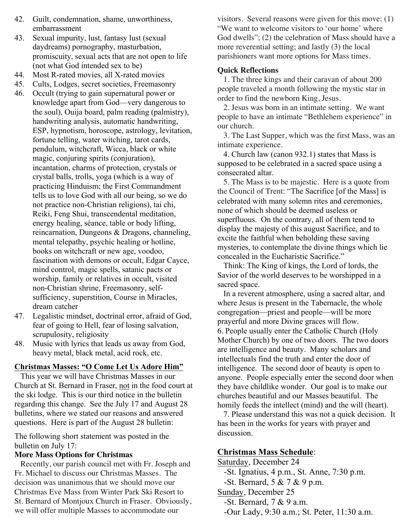- 42. Guilt, condemnation, shame, unworthiness, embarrassment
- 43. Sexual impurity, lust, fantasy lust (sexual daydreams) pornography, masturbation, promiscuity, sexual acts that are not open to life (not what God intended sex to be)
- 44. Most R-rated movies, all X-rated movies
- 45. Cults, Lodges, secret societies, Freemasonry
- 46. Occult (trying to gain supernatural power or knowledge apart from God—very dangerous to the soul), Ouija board, palm reading (palmistry), handwriting analysis, automatic handwriting, ESP, hypnotism, horoscope, astrology, levitation, fortune telling, water witching, tarot cards, pendulum, witchcraft, Wicca, black or white magic, conjuring spirits (conjuration), incantation, charms of protection, crystals or crystal balls, trolls, yoga (which is a way of practicing Hinduism; the First Commandment tells us to love God with all our being, so we do not practice non-Christian religions), tai chi, Reiki, Feng Shui, transcendental meditation, energy healing, séance, table or body lifting, reincarnation, Dungeons & Dragons, channeling, mental telepathy, psychic healing or hotline, books on witchcraft or new age, voodoo, fascination with demons or occult, Edgar Cayce, mind control, magic spells, satanic pacts or worship, family or relatives in occult, visited non-Christian shrine, Freemasonry, selfsufficiency, superstition, Course in Miracles, dream catcher
- 47. Legalistic mindset, doctrinal error, afraid of God, fear of going to Hell, fear of losing salvation, scrupulosity, religiosity
- 48. Music with lyrics that leads us away from God, heavy metal, black metal, acid rock, etc.

## **Christmas Masses: "O Come Let Us Adore Him"**

 This year we will have Christmas Masses in our Church at St. Bernard in Fraser, not in the food court at the ski lodge. This is our third notice in the bulletin regarding this change. See the July 17 and August 28 bulletins, where we stated our reasons and answered questions. Here is part of the August 28 bulletin:

The following short statement was posted in the bulletin on July 17:

## **More Mass Options for Christmas**

 Recently, our parish council met with Fr. Joseph and Fr. Michael to discuss our Christmas Masses. The decision was unanimous that we should move our Christmas Eve Mass from Winter Park Ski Resort to St. Bernard of Montjoux Church in Fraser. Obviously, we will offer multiple Masses to accommodate our

visitors. Several reasons were given for this move: (1) "We want to welcome visitors to 'our home' where God dwells"; (2) the celebration of Mass should have a more reverential setting; and lastly (3) the local parishioners want more options for Mass times.

## **Quick Reflections**

 1. The three kings and their caravan of about 200 people traveled a month following the mystic star in order to find the newborn King, Jesus.

 2. Jesus was born in an intimate setting. We want people to have an intimate "Bethlehem experience" in our church.

 3. The Last Supper, which was the first Mass, was an intimate experience.

 4. Church law (canon 932.1) states that Mass is supposed to be celebrated in a sacred space using a consecrated altar.

 5. The Mass is to be majestic. Here is a quote from the Council of Trent: "The Sacrifice [of the Mass] is celebrated with many solemn rites and ceremonies, none of which should be deemed useless or superfluous. On the contrary, all of them tend to display the majesty of this august Sacrifice, and to excite the faithful when beholding these saving mysteries, to contemplate the divine things which lie concealed in the Eucharistic Sacrifice."

 Think: The King of kings, the Lord of lords, the Savior of the world deserves to be worshipped in a sacred space.

 In a reverent atmosphere, using a sacred altar, and where Jesus is present in the Tabernacle, the whole congregation—priest and people—will be more prayerful and more Divine graces will flow. 6. People usually enter the Catholic Church (Holy Mother Church) by one of two doors. The two doors are intelligence and beauty. Many scholars and intellectuals find the truth and enter the door of intelligence. The second door of beauty is open to anyone. People especially enter the second door when they have childlike wonder. Our goal is to make our churches beautiful and our Masses beautiful. The homily feeds the intellect (mind) and the will (heart).

 7. Please understand this was not a quick decision. It has been in the works for years with prayer and discussion.

## **Christmas Mass Schedule**:

Saturday, December 24 -St. Ignatius, 4 p.m., St. Anne, 7:30 p.m. -St. Bernard, 5 & 7 & 9 p.m. Sunday, December 25 -St. Bernard, 7 & 9 a.m.

-Our Lady, 9:30 a.m.; St. Peter, 11:30 a.m.